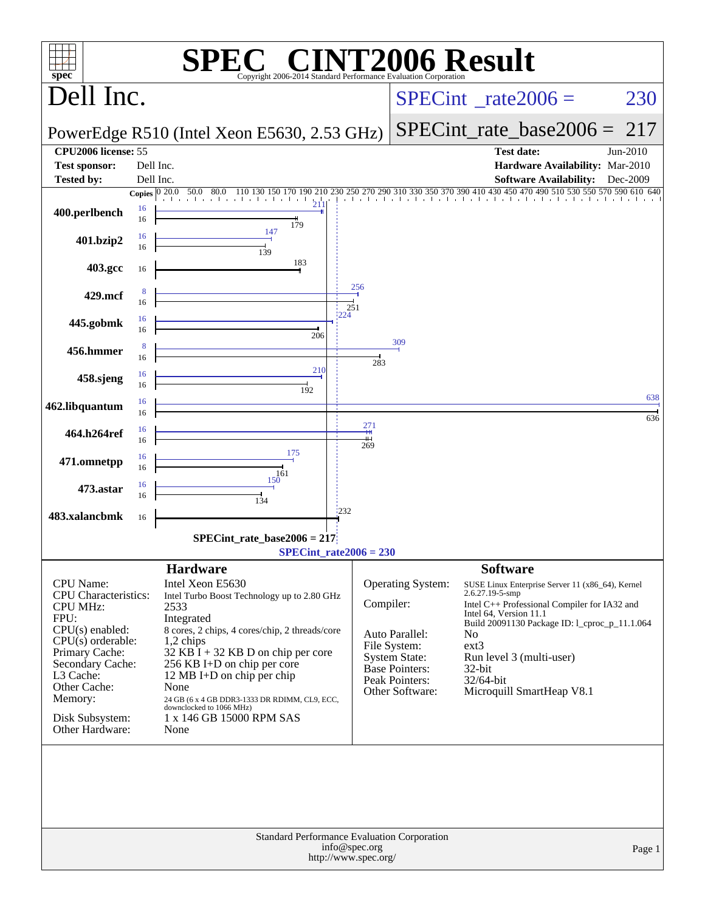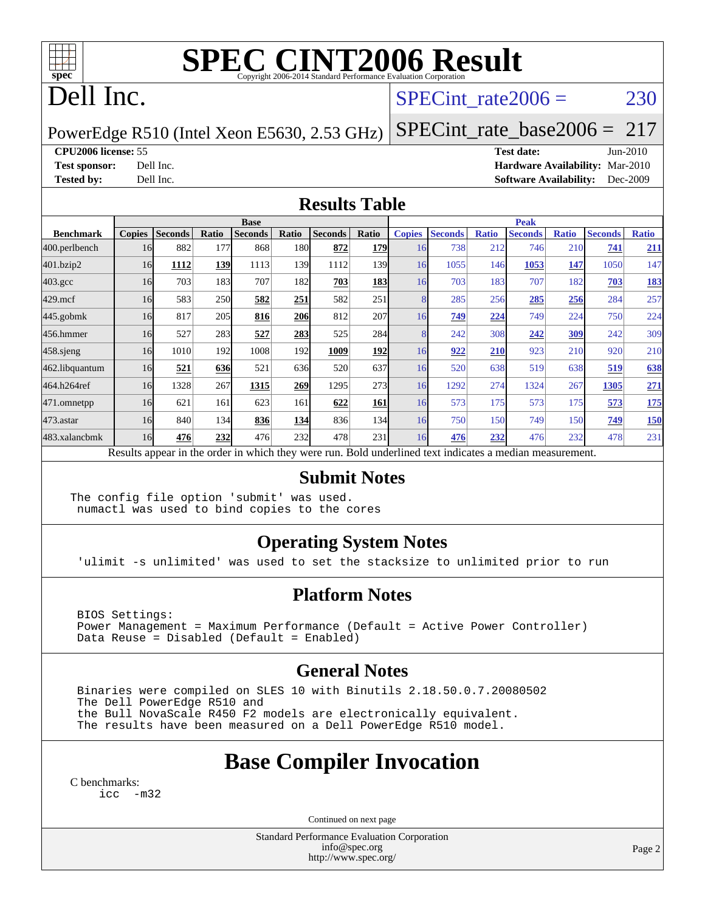

# **[SPEC CINT2006 Result](http://www.spec.org/auto/cpu2006/Docs/result-fields.html#SPECCINT2006Result)**

# Dell Inc.

### SPECint rate $2006 = 230$

PowerEdge R510 (Intel Xeon E5630, 2.53 GHz)

[SPECint\\_rate\\_base2006 =](http://www.spec.org/auto/cpu2006/Docs/result-fields.html#SPECintratebase2006) 217

#### **[CPU2006 license:](http://www.spec.org/auto/cpu2006/Docs/result-fields.html#CPU2006license)** 55 **[Test date:](http://www.spec.org/auto/cpu2006/Docs/result-fields.html#Testdate)** Jun-2010

**[Test sponsor:](http://www.spec.org/auto/cpu2006/Docs/result-fields.html#Testsponsor)** Dell Inc. **[Hardware Availability:](http://www.spec.org/auto/cpu2006/Docs/result-fields.html#HardwareAvailability)** Mar-2010 **[Tested by:](http://www.spec.org/auto/cpu2006/Docs/result-fields.html#Testedby)** Dell Inc. **[Software Availability:](http://www.spec.org/auto/cpu2006/Docs/result-fields.html#SoftwareAvailability)** Dec-2009

### **[Results Table](http://www.spec.org/auto/cpu2006/Docs/result-fields.html#ResultsTable)**

|                    | <b>Base</b>   |                |       |                                                                                                          |            |                |                  | <b>Peak</b>   |                |              |                |              |                |              |
|--------------------|---------------|----------------|-------|----------------------------------------------------------------------------------------------------------|------------|----------------|------------------|---------------|----------------|--------------|----------------|--------------|----------------|--------------|
| <b>Benchmark</b>   | <b>Copies</b> | <b>Seconds</b> | Ratio | <b>Seconds</b>                                                                                           | Ratio      | <b>Seconds</b> | Ratio            | <b>Copies</b> | <b>Seconds</b> | <b>Ratio</b> | <b>Seconds</b> | <b>Ratio</b> | <b>Seconds</b> | <b>Ratio</b> |
| 400.perlbench      | 16            | 882            | 177   | 868                                                                                                      | 180l       | 872            | <b>179</b>       | 16            | 738            | 212          | 746            | 210          | 741            | 211          |
| 401.bzip2          | 16            | 1112           | 139   | 1113                                                                                                     | 139        | 1112           | 139 <sub>l</sub> | 16            | 1055           | 146          | 1053           | 147          | 1050           | 147          |
| $403.\mathrm{gcc}$ | 16            | 703            | 183   | 707                                                                                                      | 182        | 703            | <b>183</b>       | 16            | 703            | 183          | 707            | 182          | 703            | <u>183</u>   |
| $429$ .mcf         | 16            | 583            | 250   | 582                                                                                                      | 251        | 582            | 251              | 8             | 285            | 256          | 285            | 256          | 284            | 257          |
| $445$ .gobmk       | 16            | 817            | 205   | 816                                                                                                      | <b>206</b> | 812            | 207              | 16            | 749            | 224          | 749            | 224          | 750            | 224          |
| 456.hmmer          | 16            | 527            | 283   | 527                                                                                                      | 283        | 525            | 284              | 8             | 242            | 308          | 242            | 309          | 242            | 309          |
| 458.sjeng          | 16            | 1010           | 192   | 1008                                                                                                     | 192        | 1009           | <b>192</b>       | 16            | 922            | 210          | 923            | 210          | 920            | 210          |
| 462.libquantum     | 16            | 521            | 636   | 521                                                                                                      | 636        | 520            | 637              | 16            | 520            | 638          | 519            | 638          | 519            | 638          |
| 464.h264ref        | 16            | 1328           | 267   | 1315                                                                                                     | 269        | 1295           | 273 <sub>1</sub> | 16            | 1292           | 274          | 1324           | 267          | 1305           | 271          |
| 471.omnetpp        | 16            | 621            | 161   | 623                                                                                                      | 161        | 622            | 161              | 16            | 573            | 175          | 573            | 175          | 573            | <u>175</u>   |
| $473$ . astar      | 16            | 840            | 134   | 836                                                                                                      | 134        | 836            | 134              | 16            | 750            | 150          | 749            | 150          | 749            | <b>150</b>   |
| 483.xalancbmk      | 16            | 476            | 232   | 476                                                                                                      | 232        | 478            | 231              | 16            | 476            | 232          | 476            | 232          | 478            | 231          |
|                    |               |                |       | Results appear in the order in which they were run. Bold underlined text indicates a median measurement. |            |                |                  |               |                |              |                |              |                |              |

#### **[Submit Notes](http://www.spec.org/auto/cpu2006/Docs/result-fields.html#SubmitNotes)**

The config file option 'submit' was used. numactl was used to bind copies to the cores

### **[Operating System Notes](http://www.spec.org/auto/cpu2006/Docs/result-fields.html#OperatingSystemNotes)**

'ulimit -s unlimited' was used to set the stacksize to unlimited prior to run

### **[Platform Notes](http://www.spec.org/auto/cpu2006/Docs/result-fields.html#PlatformNotes)**

 BIOS Settings: Power Management = Maximum Performance (Default = Active Power Controller) Data Reuse = Disabled (Default = Enabled)

### **[General Notes](http://www.spec.org/auto/cpu2006/Docs/result-fields.html#GeneralNotes)**

 Binaries were compiled on SLES 10 with Binutils 2.18.50.0.7.20080502 The Dell PowerEdge R510 and the Bull NovaScale R450 F2 models are electronically equivalent. The results have been measured on a Dell PowerEdge R510 model.

### **[Base Compiler Invocation](http://www.spec.org/auto/cpu2006/Docs/result-fields.html#BaseCompilerInvocation)**

[C benchmarks](http://www.spec.org/auto/cpu2006/Docs/result-fields.html#Cbenchmarks): icc  $-m32$ 

Continued on next page

Standard Performance Evaluation Corporation [info@spec.org](mailto:info@spec.org) <http://www.spec.org/>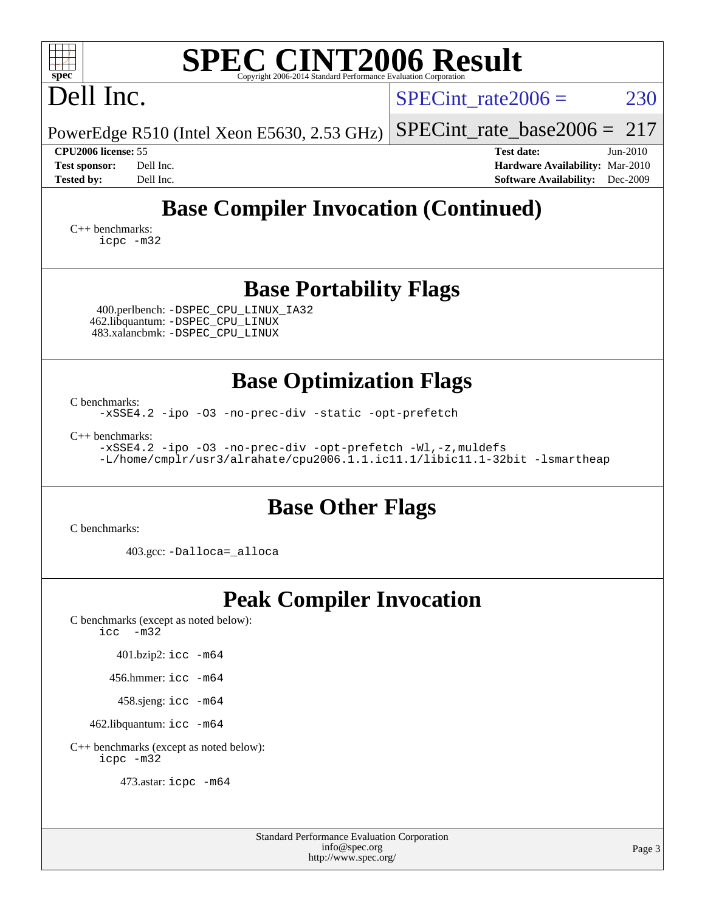| <b>SPEC CINT2006 Result</b><br>$spec^*$<br>Copyright 2006-2014 Standard Performance Evaluation Corporation                                                                                      |                                                                                                               |
|-------------------------------------------------------------------------------------------------------------------------------------------------------------------------------------------------|---------------------------------------------------------------------------------------------------------------|
| Dell Inc.                                                                                                                                                                                       | 230<br>$SPECint rate 2006 =$                                                                                  |
| PowerEdge R510 (Intel Xeon E5630, 2.53 GHz)                                                                                                                                                     | 217<br>$SPECint_rate base2006 =$                                                                              |
| CPU2006 license: 55<br><b>Test sponsor:</b><br>Dell Inc.<br><b>Tested by:</b><br>Dell Inc.                                                                                                      | <b>Test date:</b><br>Jun-2010<br>Hardware Availability: Mar-2010<br>Dec-2009<br><b>Software Availability:</b> |
| <b>Base Compiler Invocation (Continued)</b>                                                                                                                                                     |                                                                                                               |
| $C_{++}$ benchmarks:<br>icpc -m32                                                                                                                                                               |                                                                                                               |
| <b>Base Portability Flags</b><br>400.perlbench: -DSPEC_CPU_LINUX_IA32<br>462.libquantum: -DSPEC_CPU_LINUX<br>483.xalancbmk: - DSPEC CPU LINUX                                                   |                                                                                                               |
| <b>Base Optimization Flags</b><br>C benchmarks:<br>-xSSE4.2 -ipo -03 -no-prec-div -static -opt-prefetch<br>$C_{++}$ benchmarks:<br>-xSSE4.2 -ipo -03 -no-prec-div -opt-prefetch -Wl,-z, muldefs |                                                                                                               |
| -L/home/cmplr/usr3/alrahate/cpu2006.1.1.ic11.1/libic11.1-32bit -lsmartheap<br><b>Base Other Flags</b><br>C benchmarks:<br>403.gcc: -Dalloca= alloca                                             |                                                                                                               |
|                                                                                                                                                                                                 |                                                                                                               |
| <b>Peak Compiler Invocation</b><br>C benchmarks (except as noted below):<br>icc<br>$-m32$                                                                                                       |                                                                                                               |
| 401.bzip2: icc -m64                                                                                                                                                                             |                                                                                                               |
| 456.hmmer: $\text{icc}$ -m64                                                                                                                                                                    |                                                                                                               |
| 458.sjeng: icc -m64                                                                                                                                                                             |                                                                                                               |
| 462.libquantum: icc -m64                                                                                                                                                                        |                                                                                                               |
| C++ benchmarks (except as noted below):<br>icpc -m32                                                                                                                                            |                                                                                                               |
| 473.astar: icpc -m64                                                                                                                                                                            |                                                                                                               |
|                                                                                                                                                                                                 |                                                                                                               |

| <b>Standard Performance Evaluation Corporation</b> |
|----------------------------------------------------|
| info@spec.org                                      |
| http://www.spec.org/                               |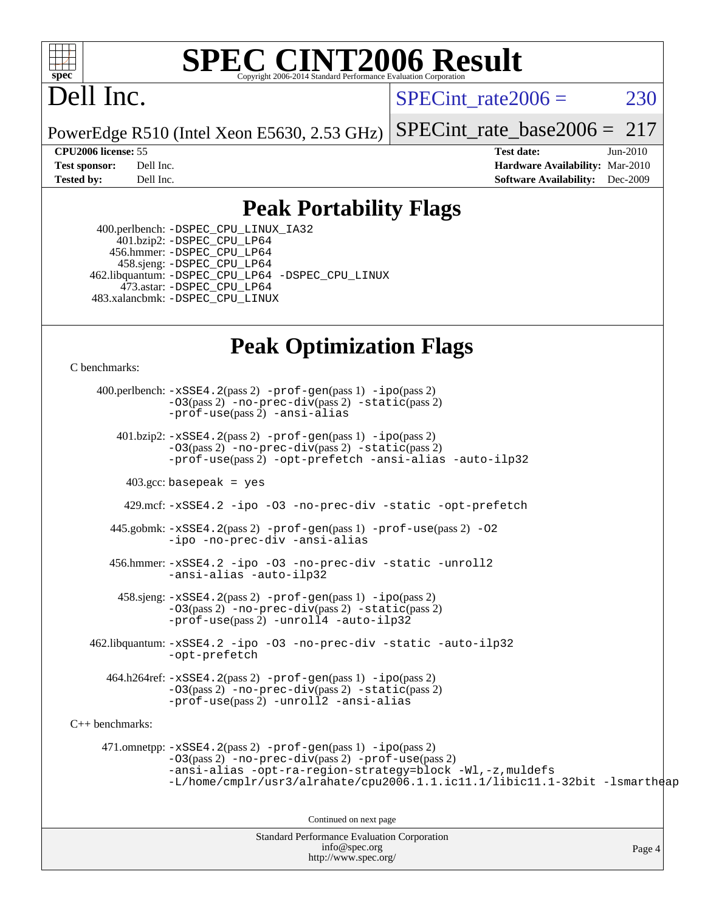

# **[SPEC CINT2006 Result](http://www.spec.org/auto/cpu2006/Docs/result-fields.html#SPECCINT2006Result)**

# Dell Inc.

SPECint rate $2006 = 230$ 

PowerEdge R510 (Intel Xeon E5630, 2.53 GHz) [SPECint\\_rate\\_base2006 =](http://www.spec.org/auto/cpu2006/Docs/result-fields.html#SPECintratebase2006) 217

**[CPU2006 license:](http://www.spec.org/auto/cpu2006/Docs/result-fields.html#CPU2006license)** 55 **[Test date:](http://www.spec.org/auto/cpu2006/Docs/result-fields.html#Testdate)** Jun-2010 **[Test sponsor:](http://www.spec.org/auto/cpu2006/Docs/result-fields.html#Testsponsor)** Dell Inc. **[Hardware Availability:](http://www.spec.org/auto/cpu2006/Docs/result-fields.html#HardwareAvailability)** Mar-2010 **[Tested by:](http://www.spec.org/auto/cpu2006/Docs/result-fields.html#Testedby)** Dell Inc. **[Software Availability:](http://www.spec.org/auto/cpu2006/Docs/result-fields.html#SoftwareAvailability)** Dec-2009

### **[Peak Portability Flags](http://www.spec.org/auto/cpu2006/Docs/result-fields.html#PeakPortabilityFlags)**

 400.perlbench: [-DSPEC\\_CPU\\_LINUX\\_IA32](http://www.spec.org/cpu2006/results/res2010q3/cpu2006-20100913-13228.flags.html#b400.perlbench_peakCPORTABILITY_DSPEC_CPU_LINUX_IA32) 401.bzip2: [-DSPEC\\_CPU\\_LP64](http://www.spec.org/cpu2006/results/res2010q3/cpu2006-20100913-13228.flags.html#suite_peakCPORTABILITY401_bzip2_DSPEC_CPU_LP64) 456.hmmer: [-DSPEC\\_CPU\\_LP64](http://www.spec.org/cpu2006/results/res2010q3/cpu2006-20100913-13228.flags.html#suite_peakCPORTABILITY456_hmmer_DSPEC_CPU_LP64) 458.sjeng: [-DSPEC\\_CPU\\_LP64](http://www.spec.org/cpu2006/results/res2010q3/cpu2006-20100913-13228.flags.html#suite_peakCPORTABILITY458_sjeng_DSPEC_CPU_LP64) 462.libquantum: [-DSPEC\\_CPU\\_LP64](http://www.spec.org/cpu2006/results/res2010q3/cpu2006-20100913-13228.flags.html#suite_peakCPORTABILITY462_libquantum_DSPEC_CPU_LP64) [-DSPEC\\_CPU\\_LINUX](http://www.spec.org/cpu2006/results/res2010q3/cpu2006-20100913-13228.flags.html#b462.libquantum_peakCPORTABILITY_DSPEC_CPU_LINUX) 473.astar: [-DSPEC\\_CPU\\_LP64](http://www.spec.org/cpu2006/results/res2010q3/cpu2006-20100913-13228.flags.html#suite_peakCXXPORTABILITY473_astar_DSPEC_CPU_LP64) 483.xalancbmk: [-DSPEC\\_CPU\\_LINUX](http://www.spec.org/cpu2006/results/res2010q3/cpu2006-20100913-13228.flags.html#b483.xalancbmk_peakCXXPORTABILITY_DSPEC_CPU_LINUX)

### **[Peak Optimization Flags](http://www.spec.org/auto/cpu2006/Docs/result-fields.html#PeakOptimizationFlags)**

[C benchmarks](http://www.spec.org/auto/cpu2006/Docs/result-fields.html#Cbenchmarks):

 400.perlbench: [-xSSE4.2](http://www.spec.org/cpu2006/results/res2010q3/cpu2006-20100913-13228.flags.html#user_peakPASS2_CFLAGSPASS2_LDCFLAGS400_perlbench_f-xSSE42_f91528193cf0b216347adb8b939d4107)(pass 2) [-prof-gen](http://www.spec.org/cpu2006/results/res2010q3/cpu2006-20100913-13228.flags.html#user_peakPASS1_CFLAGSPASS1_LDCFLAGS400_perlbench_prof_gen_e43856698f6ca7b7e442dfd80e94a8fc)(pass 1) [-ipo](http://www.spec.org/cpu2006/results/res2010q3/cpu2006-20100913-13228.flags.html#user_peakPASS2_CFLAGSPASS2_LDCFLAGS400_perlbench_f-ipo)(pass 2) [-O3](http://www.spec.org/cpu2006/results/res2010q3/cpu2006-20100913-13228.flags.html#user_peakPASS2_CFLAGSPASS2_LDCFLAGS400_perlbench_f-O3)(pass 2) [-no-prec-div](http://www.spec.org/cpu2006/results/res2010q3/cpu2006-20100913-13228.flags.html#user_peakPASS2_CFLAGSPASS2_LDCFLAGS400_perlbench_f-no-prec-div)(pass 2) [-static](http://www.spec.org/cpu2006/results/res2010q3/cpu2006-20100913-13228.flags.html#user_peakPASS2_CFLAGSPASS2_LDCFLAGS400_perlbench_f-static)(pass 2) [-prof-use](http://www.spec.org/cpu2006/results/res2010q3/cpu2006-20100913-13228.flags.html#user_peakPASS2_CFLAGSPASS2_LDCFLAGS400_perlbench_prof_use_bccf7792157ff70d64e32fe3e1250b55)(pass 2) [-ansi-alias](http://www.spec.org/cpu2006/results/res2010q3/cpu2006-20100913-13228.flags.html#user_peakCOPTIMIZE400_perlbench_f-ansi-alias) 401.bzip2: [-xSSE4.2](http://www.spec.org/cpu2006/results/res2010q3/cpu2006-20100913-13228.flags.html#user_peakPASS2_CFLAGSPASS2_LDCFLAGS401_bzip2_f-xSSE42_f91528193cf0b216347adb8b939d4107)(pass 2) [-prof-gen](http://www.spec.org/cpu2006/results/res2010q3/cpu2006-20100913-13228.flags.html#user_peakPASS1_CFLAGSPASS1_LDCFLAGS401_bzip2_prof_gen_e43856698f6ca7b7e442dfd80e94a8fc)(pass 1) [-ipo](http://www.spec.org/cpu2006/results/res2010q3/cpu2006-20100913-13228.flags.html#user_peakPASS2_CFLAGSPASS2_LDCFLAGS401_bzip2_f-ipo)(pass 2) [-O3](http://www.spec.org/cpu2006/results/res2010q3/cpu2006-20100913-13228.flags.html#user_peakPASS2_CFLAGSPASS2_LDCFLAGS401_bzip2_f-O3)(pass 2) [-no-prec-div](http://www.spec.org/cpu2006/results/res2010q3/cpu2006-20100913-13228.flags.html#user_peakPASS2_CFLAGSPASS2_LDCFLAGS401_bzip2_f-no-prec-div)(pass 2) [-static](http://www.spec.org/cpu2006/results/res2010q3/cpu2006-20100913-13228.flags.html#user_peakPASS2_CFLAGSPASS2_LDCFLAGS401_bzip2_f-static)(pass 2) [-prof-use](http://www.spec.org/cpu2006/results/res2010q3/cpu2006-20100913-13228.flags.html#user_peakPASS2_CFLAGSPASS2_LDCFLAGS401_bzip2_prof_use_bccf7792157ff70d64e32fe3e1250b55)(pass 2) [-opt-prefetch](http://www.spec.org/cpu2006/results/res2010q3/cpu2006-20100913-13228.flags.html#user_peakCOPTIMIZE401_bzip2_f-opt-prefetch) [-ansi-alias](http://www.spec.org/cpu2006/results/res2010q3/cpu2006-20100913-13228.flags.html#user_peakCOPTIMIZE401_bzip2_f-ansi-alias) [-auto-ilp32](http://www.spec.org/cpu2006/results/res2010q3/cpu2006-20100913-13228.flags.html#user_peakCOPTIMIZE401_bzip2_f-auto-ilp32)  $403.\text{gcc: basepeak}$  = yes 429.mcf: [-xSSE4.2](http://www.spec.org/cpu2006/results/res2010q3/cpu2006-20100913-13228.flags.html#user_peakCOPTIMIZE429_mcf_f-xSSE42_f91528193cf0b216347adb8b939d4107) [-ipo](http://www.spec.org/cpu2006/results/res2010q3/cpu2006-20100913-13228.flags.html#user_peakCOPTIMIZE429_mcf_f-ipo) [-O3](http://www.spec.org/cpu2006/results/res2010q3/cpu2006-20100913-13228.flags.html#user_peakCOPTIMIZE429_mcf_f-O3) [-no-prec-div](http://www.spec.org/cpu2006/results/res2010q3/cpu2006-20100913-13228.flags.html#user_peakCOPTIMIZE429_mcf_f-no-prec-div) [-static](http://www.spec.org/cpu2006/results/res2010q3/cpu2006-20100913-13228.flags.html#user_peakCOPTIMIZE429_mcf_f-static) [-opt-prefetch](http://www.spec.org/cpu2006/results/res2010q3/cpu2006-20100913-13228.flags.html#user_peakCOPTIMIZE429_mcf_f-opt-prefetch) 445.gobmk: [-xSSE4.2](http://www.spec.org/cpu2006/results/res2010q3/cpu2006-20100913-13228.flags.html#user_peakPASS2_CFLAGSPASS2_LDCFLAGS445_gobmk_f-xSSE42_f91528193cf0b216347adb8b939d4107)(pass 2) [-prof-gen](http://www.spec.org/cpu2006/results/res2010q3/cpu2006-20100913-13228.flags.html#user_peakPASS1_CFLAGSPASS1_LDCFLAGS445_gobmk_prof_gen_e43856698f6ca7b7e442dfd80e94a8fc)(pass 1) [-prof-use](http://www.spec.org/cpu2006/results/res2010q3/cpu2006-20100913-13228.flags.html#user_peakPASS2_CFLAGSPASS2_LDCFLAGS445_gobmk_prof_use_bccf7792157ff70d64e32fe3e1250b55)(pass 2) [-O2](http://www.spec.org/cpu2006/results/res2010q3/cpu2006-20100913-13228.flags.html#user_peakCOPTIMIZE445_gobmk_f-O2) [-ipo](http://www.spec.org/cpu2006/results/res2010q3/cpu2006-20100913-13228.flags.html#user_peakCOPTIMIZE445_gobmk_f-ipo) [-no-prec-div](http://www.spec.org/cpu2006/results/res2010q3/cpu2006-20100913-13228.flags.html#user_peakCOPTIMIZE445_gobmk_f-no-prec-div) [-ansi-alias](http://www.spec.org/cpu2006/results/res2010q3/cpu2006-20100913-13228.flags.html#user_peakCOPTIMIZE445_gobmk_f-ansi-alias) 456.hmmer: [-xSSE4.2](http://www.spec.org/cpu2006/results/res2010q3/cpu2006-20100913-13228.flags.html#user_peakCOPTIMIZE456_hmmer_f-xSSE42_f91528193cf0b216347adb8b939d4107) [-ipo](http://www.spec.org/cpu2006/results/res2010q3/cpu2006-20100913-13228.flags.html#user_peakCOPTIMIZE456_hmmer_f-ipo) [-O3](http://www.spec.org/cpu2006/results/res2010q3/cpu2006-20100913-13228.flags.html#user_peakCOPTIMIZE456_hmmer_f-O3) [-no-prec-div](http://www.spec.org/cpu2006/results/res2010q3/cpu2006-20100913-13228.flags.html#user_peakCOPTIMIZE456_hmmer_f-no-prec-div) [-static](http://www.spec.org/cpu2006/results/res2010q3/cpu2006-20100913-13228.flags.html#user_peakCOPTIMIZE456_hmmer_f-static) [-unroll2](http://www.spec.org/cpu2006/results/res2010q3/cpu2006-20100913-13228.flags.html#user_peakCOPTIMIZE456_hmmer_f-unroll_784dae83bebfb236979b41d2422d7ec2) [-ansi-alias](http://www.spec.org/cpu2006/results/res2010q3/cpu2006-20100913-13228.flags.html#user_peakCOPTIMIZE456_hmmer_f-ansi-alias) [-auto-ilp32](http://www.spec.org/cpu2006/results/res2010q3/cpu2006-20100913-13228.flags.html#user_peakCOPTIMIZE456_hmmer_f-auto-ilp32) 458.sjeng: [-xSSE4.2](http://www.spec.org/cpu2006/results/res2010q3/cpu2006-20100913-13228.flags.html#user_peakPASS2_CFLAGSPASS2_LDCFLAGS458_sjeng_f-xSSE42_f91528193cf0b216347adb8b939d4107)(pass 2) [-prof-gen](http://www.spec.org/cpu2006/results/res2010q3/cpu2006-20100913-13228.flags.html#user_peakPASS1_CFLAGSPASS1_LDCFLAGS458_sjeng_prof_gen_e43856698f6ca7b7e442dfd80e94a8fc)(pass 1) [-ipo](http://www.spec.org/cpu2006/results/res2010q3/cpu2006-20100913-13228.flags.html#user_peakPASS2_CFLAGSPASS2_LDCFLAGS458_sjeng_f-ipo)(pass 2) [-O3](http://www.spec.org/cpu2006/results/res2010q3/cpu2006-20100913-13228.flags.html#user_peakPASS2_CFLAGSPASS2_LDCFLAGS458_sjeng_f-O3)(pass 2) [-no-prec-div](http://www.spec.org/cpu2006/results/res2010q3/cpu2006-20100913-13228.flags.html#user_peakPASS2_CFLAGSPASS2_LDCFLAGS458_sjeng_f-no-prec-div)(pass 2) [-static](http://www.spec.org/cpu2006/results/res2010q3/cpu2006-20100913-13228.flags.html#user_peakPASS2_CFLAGSPASS2_LDCFLAGS458_sjeng_f-static)(pass 2) [-prof-use](http://www.spec.org/cpu2006/results/res2010q3/cpu2006-20100913-13228.flags.html#user_peakPASS2_CFLAGSPASS2_LDCFLAGS458_sjeng_prof_use_bccf7792157ff70d64e32fe3e1250b55)(pass 2) [-unroll4](http://www.spec.org/cpu2006/results/res2010q3/cpu2006-20100913-13228.flags.html#user_peakCOPTIMIZE458_sjeng_f-unroll_4e5e4ed65b7fd20bdcd365bec371b81f) [-auto-ilp32](http://www.spec.org/cpu2006/results/res2010q3/cpu2006-20100913-13228.flags.html#user_peakCOPTIMIZE458_sjeng_f-auto-ilp32) 462.libquantum: [-xSSE4.2](http://www.spec.org/cpu2006/results/res2010q3/cpu2006-20100913-13228.flags.html#user_peakCOPTIMIZE462_libquantum_f-xSSE42_f91528193cf0b216347adb8b939d4107) [-ipo](http://www.spec.org/cpu2006/results/res2010q3/cpu2006-20100913-13228.flags.html#user_peakCOPTIMIZE462_libquantum_f-ipo) [-O3](http://www.spec.org/cpu2006/results/res2010q3/cpu2006-20100913-13228.flags.html#user_peakCOPTIMIZE462_libquantum_f-O3) [-no-prec-div](http://www.spec.org/cpu2006/results/res2010q3/cpu2006-20100913-13228.flags.html#user_peakCOPTIMIZE462_libquantum_f-no-prec-div) [-static](http://www.spec.org/cpu2006/results/res2010q3/cpu2006-20100913-13228.flags.html#user_peakCOPTIMIZE462_libquantum_f-static) [-auto-ilp32](http://www.spec.org/cpu2006/results/res2010q3/cpu2006-20100913-13228.flags.html#user_peakCOPTIMIZE462_libquantum_f-auto-ilp32) [-opt-prefetch](http://www.spec.org/cpu2006/results/res2010q3/cpu2006-20100913-13228.flags.html#user_peakCOPTIMIZE462_libquantum_f-opt-prefetch) 464.h264ref: [-xSSE4.2](http://www.spec.org/cpu2006/results/res2010q3/cpu2006-20100913-13228.flags.html#user_peakPASS2_CFLAGSPASS2_LDCFLAGS464_h264ref_f-xSSE42_f91528193cf0b216347adb8b939d4107)(pass 2) [-prof-gen](http://www.spec.org/cpu2006/results/res2010q3/cpu2006-20100913-13228.flags.html#user_peakPASS1_CFLAGSPASS1_LDCFLAGS464_h264ref_prof_gen_e43856698f6ca7b7e442dfd80e94a8fc)(pass 1) [-ipo](http://www.spec.org/cpu2006/results/res2010q3/cpu2006-20100913-13228.flags.html#user_peakPASS2_CFLAGSPASS2_LDCFLAGS464_h264ref_f-ipo)(pass 2) [-O3](http://www.spec.org/cpu2006/results/res2010q3/cpu2006-20100913-13228.flags.html#user_peakPASS2_CFLAGSPASS2_LDCFLAGS464_h264ref_f-O3)(pass 2) [-no-prec-div](http://www.spec.org/cpu2006/results/res2010q3/cpu2006-20100913-13228.flags.html#user_peakPASS2_CFLAGSPASS2_LDCFLAGS464_h264ref_f-no-prec-div)(pass 2) [-static](http://www.spec.org/cpu2006/results/res2010q3/cpu2006-20100913-13228.flags.html#user_peakPASS2_CFLAGSPASS2_LDCFLAGS464_h264ref_f-static)(pass 2) [-prof-use](http://www.spec.org/cpu2006/results/res2010q3/cpu2006-20100913-13228.flags.html#user_peakPASS2_CFLAGSPASS2_LDCFLAGS464_h264ref_prof_use_bccf7792157ff70d64e32fe3e1250b55)(pass 2) [-unroll2](http://www.spec.org/cpu2006/results/res2010q3/cpu2006-20100913-13228.flags.html#user_peakCOPTIMIZE464_h264ref_f-unroll_784dae83bebfb236979b41d2422d7ec2) [-ansi-alias](http://www.spec.org/cpu2006/results/res2010q3/cpu2006-20100913-13228.flags.html#user_peakCOPTIMIZE464_h264ref_f-ansi-alias) [C++ benchmarks:](http://www.spec.org/auto/cpu2006/Docs/result-fields.html#CXXbenchmarks) 471.omnetpp: [-xSSE4.2](http://www.spec.org/cpu2006/results/res2010q3/cpu2006-20100913-13228.flags.html#user_peakPASS2_CXXFLAGSPASS2_LDCXXFLAGS471_omnetpp_f-xSSE42_f91528193cf0b216347adb8b939d4107)(pass 2) [-prof-gen](http://www.spec.org/cpu2006/results/res2010q3/cpu2006-20100913-13228.flags.html#user_peakPASS1_CXXFLAGSPASS1_LDCXXFLAGS471_omnetpp_prof_gen_e43856698f6ca7b7e442dfd80e94a8fc)(pass 1) [-ipo](http://www.spec.org/cpu2006/results/res2010q3/cpu2006-20100913-13228.flags.html#user_peakPASS2_CXXFLAGSPASS2_LDCXXFLAGS471_omnetpp_f-ipo)(pass 2) [-O3](http://www.spec.org/cpu2006/results/res2010q3/cpu2006-20100913-13228.flags.html#user_peakPASS2_CXXFLAGSPASS2_LDCXXFLAGS471_omnetpp_f-O3)(pass 2) [-no-prec-div](http://www.spec.org/cpu2006/results/res2010q3/cpu2006-20100913-13228.flags.html#user_peakPASS2_CXXFLAGSPASS2_LDCXXFLAGS471_omnetpp_f-no-prec-div)(pass 2) [-prof-use](http://www.spec.org/cpu2006/results/res2010q3/cpu2006-20100913-13228.flags.html#user_peakPASS2_CXXFLAGSPASS2_LDCXXFLAGS471_omnetpp_prof_use_bccf7792157ff70d64e32fe3e1250b55)(pass 2) [-ansi-alias](http://www.spec.org/cpu2006/results/res2010q3/cpu2006-20100913-13228.flags.html#user_peakCXXOPTIMIZE471_omnetpp_f-ansi-alias) [-opt-ra-region-strategy=block](http://www.spec.org/cpu2006/results/res2010q3/cpu2006-20100913-13228.flags.html#user_peakCXXOPTIMIZE471_omnetpp_f-opt-ra-region-strategy-block_a0a37c372d03933b2a18d4af463c1f69) [-Wl,-z,muldefs](http://www.spec.org/cpu2006/results/res2010q3/cpu2006-20100913-13228.flags.html#user_peakEXTRA_LDFLAGS471_omnetpp_link_force_multiple1_74079c344b956b9658436fd1b6dd3a8a) [-L/home/cmplr/usr3/alrahate/cpu2006.1.1.ic11.1/libic11.1-32bit -lsmartheap](http://www.spec.org/cpu2006/results/res2010q3/cpu2006-20100913-13228.flags.html#user_peakEXTRA_LIBS471_omnetpp_SmartHeap_d86dffe4a79b79ef8890d5cce17030c3) Continued on next page

Standard Performance Evaluation Corporation [info@spec.org](mailto:info@spec.org) <http://www.spec.org/>

Page 4